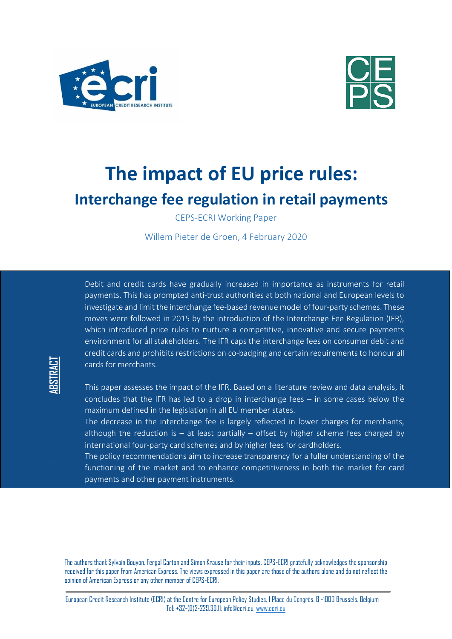

**ABSTRACT**



# **The impact of EU price rules: Interchange fee regulation in retail payments**

CEPS-ECRI Working Paper

Willem Pieter de Groen, 4 February 2020

Debit and credit cards have gradually increased in importance as instruments for retail payments. This has prompted anti-trust authorities at both national and European levels to investigate and limit the interchange fee-based revenue model of four-party schemes. These moves were followed in 2015 by the introduction of the Interchange Fee Regulation (IFR), which introduced price rules to nurture a competitive, innovative and secure payments environment for all stakeholders. The IFR caps the interchange fees on consumer debit and credit cards and prohibits restrictions on co-badging and certain requirements to honour all cards for merchants.

This paper assesses the impact of the IFR. Based on a literature review and data analysis, it concludes that the IFR has led to a drop in interchange fees – in some cases below the maximum defined in the legislation in all EU member states.

The decrease in the interchange fee is largely reflected in lower charges for merchants, although the reduction is  $-$  at least partially  $-$  offset by higher scheme fees charged by international four-party card schemes and by higher fees for cardholders.

The policy recommendations aim to increase transparency for a fuller understanding of the functioning of the market and to enhance competitiveness in both the market for card payments and other payment instruments.

The authors thank Sylvain Bouyon, Fergal Carton and Simon Krause for their inputs. CEPS-ECRI gratefully acknowledges the sponsorship received for this paper from American Express. The views expressed in this paper are those of the authors alone and do not reflect the opinion of American Express or any other member of CEPS-ECRI.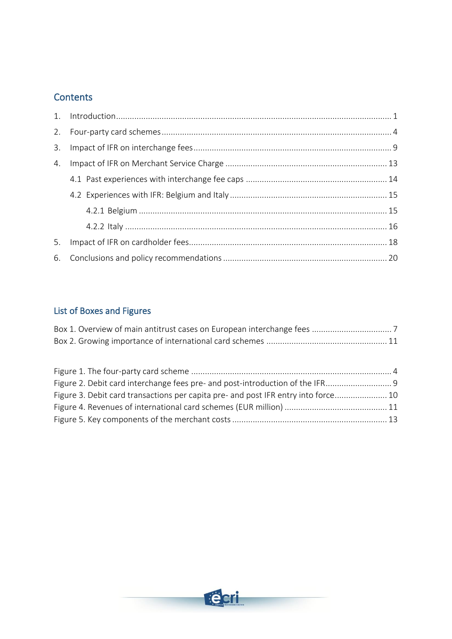## **Contents**

| 3. |  |
|----|--|
| 4. |  |
|    |  |
|    |  |
|    |  |
|    |  |
| 5. |  |
|    |  |

# List of Boxes and Figures

| Figure 2. Debit card interchange fees pre- and post-introduction of the IFR        |  |
|------------------------------------------------------------------------------------|--|
| Figure 3. Debit card transactions per capita pre- and post IFR entry into force 10 |  |
|                                                                                    |  |
|                                                                                    |  |

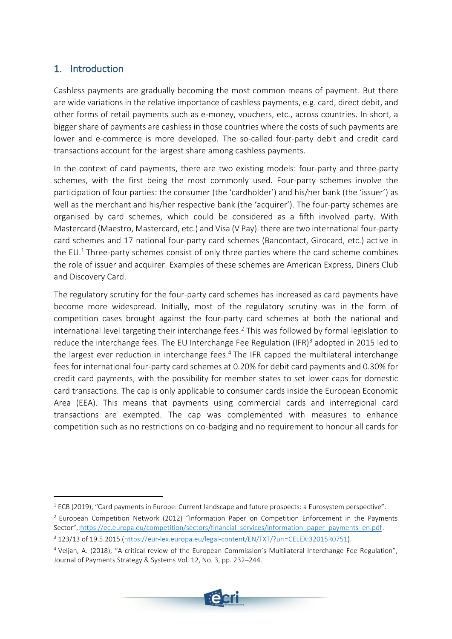## <span id="page-2-0"></span>1. Introduction

Cashless payments are gradually becoming the most common means of payment. But there are wide variations in the relative importance of cashless payments, e.g. card, direct debit, and other forms of retail payments such as e-money, vouchers, etc., across countries. In short, a bigger share of payments are cashless in those countries where the costs of such payments are lower and e-commerce is more developed. The so-called four-party debit and credit card transactions account for the largest share among cashless payments.

In the context of card payments, there are two existing models: four-party and three-party schemes, with the first being the most commonly used. Four-party schemes involve the participation of four parties: the consumer (the 'cardholder') and his/her bank (the 'issuer') as well as the merchant and his/her respective bank (the 'acquirer'). The four-party schemes are organised by card schemes, which could be considered as a fifth involved party. With Mastercard (Maestro, Mastercard, etc.) and Visa (V Pay) there are two international four-party card schemes and 17 national four-party card schemes (Bancontact, Girocard, etc.) active in the EU. <sup>1</sup> Three-party schemes consist of only three parties where the card scheme combines the role of issuer and acquirer. Examples of these schemes are American Express, Diners Club and Discovery Card.

The regulatory scrutiny for the four-party card schemes has increased as card payments have become more widespread. Initially, most of the regulatory scrutiny was in the form of competition cases brought against the four-party card schemes at both the national and international level targeting their interchange fees. <sup>2</sup> This was followed by formal legislation to reduce the interchange fees. The EU Interchange Fee Regulation (IFR)<sup>3</sup> adopted in 2015 led to the largest ever reduction in interchange fees.<sup>4</sup> The IFR capped the multilateral interchange fees for international four-party card schemes at 0.20% for debit card payments and 0.30% for credit card payments, with the possibility for member states to set lower caps for domestic card transactions. The cap is only applicable to consumer cards inside the European Economic Area (EEA). This means that payments using commercial cards and interregional card transactions are exempted. The cap was complemented with measures to enhance competition such as no restrictions on co-badging and no requirement to honour all cards for

<sup>4</sup> Veljan, A. (2018), "A critical review of the European Commission's Multilateral Interchange Fee Regulation", Journal of Payments Strategy & Systems Vol. 12, No. 3, pp. 232–244.



<sup>&</sup>lt;sup>1</sup> ECB (2019), "Card payments in Europe: Current landscape and future prospects: a Eurosystem perspective".

<sup>&</sup>lt;sup>2</sup> European Competition Network (2012) "Information Paper on Competition Enforcement in the Payments Sector"[,:https://ec.europa.eu/competition/sectors/financial\\_services/information\\_paper\\_payments\\_en.pdf.](https://ec.europa.eu/competition/sectors/financial_services/information_paper_payments_en.pdf)

<sup>3</sup> 123/13 of 19.5.2015 [\(https://eur-lex.europa.eu/legal-content/EN/TXT/?uri=CELEX:32015R0751\)](https://eur-lex.europa.eu/legal-content/EN/TXT/?uri=CELEX:32015R0751).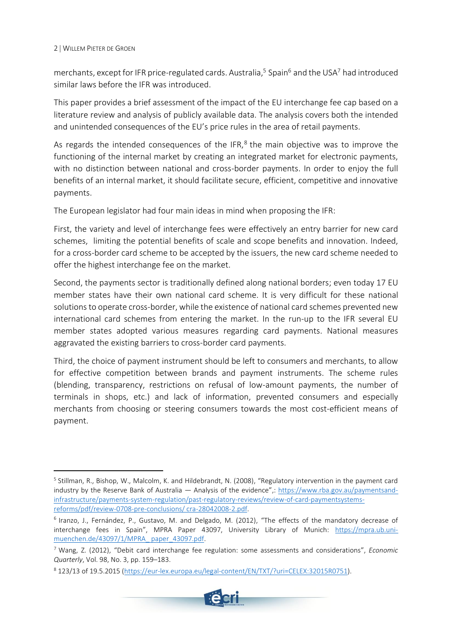merchants, except for IFR price-regulated cards. Australia,<sup>5</sup> Spain<sup>6</sup> and the USA<sup>7</sup> had introduced similar laws before the IFR was introduced.

This paper provides a brief assessment of the impact of the EU interchange fee cap based on a literature review and analysis of publicly available data. The analysis covers both the intended and unintended consequences of the EU's price rules in the area of retail payments.

As regards the intended consequences of the IFR,<sup>8</sup> the main objective was to improve the functioning of the internal market by creating an integrated market for electronic payments, with no distinction between national and cross-border payments. In order to enjoy the full benefits of an internal market, it should facilitate secure, efficient, competitive and innovative payments.

The European legislator had four main ideas in mind when proposing the IFR:

First, the variety and level of interchange fees were effectively an entry barrier for new card schemes, limiting the potential benefits of scale and scope benefits and innovation. Indeed, for a cross-border card scheme to be accepted by the issuers, the new card scheme needed to offer the highest interchange fee on the market.

Second, the payments sector is traditionally defined along national borders; even today 17 EU member states have their own national card scheme. It is very difficult for these national solutions to operate cross-border, while the existence of national card schemes prevented new international card schemes from entering the market. In the run-up to the IFR several EU member states adopted various measures regarding card payments. National measures aggravated the existing barriers to cross-border card payments.

Third, the choice of payment instrument should be left to consumers and merchants, to allow for effective competition between brands and payment instruments. The scheme rules (blending, transparency, restrictions on refusal of low-amount payments, the number of terminals in shops, etc.) and lack of information, prevented consumers and especially merchants from choosing or steering consumers towards the most cost-efficient means of payment.

<sup>8</sup> 123/13 of 19.5.2015 [\(https://eur-lex.europa.eu/legal-content/EN/TXT/?uri=CELEX:32015R0751\)](https://eur-lex.europa.eu/legal-content/EN/TXT/?uri=CELEX:32015R0751).



<sup>&</sup>lt;sup>5</sup> Stillman, R., Bishop, W., Malcolm, K. and Hildebrandt, N. (2008), "Regulatory intervention in the payment card industry by the Reserve Bank of Australia — Analysis of the evidence",: [https://www.rba.gov.au/paymentsand](https://www.rba.gov.au/paymentsand-infrastructure/payments-system-regulation/past-regulatory-reviews/review-of-card-paymentsystems-reforms/pdf/review-0708-pre-conclusions/%20cra-28042008-2.pdf)[infrastructure/payments-system-regulation/past-regulatory-reviews/review-of-card-paymentsystems](https://www.rba.gov.au/paymentsand-infrastructure/payments-system-regulation/past-regulatory-reviews/review-of-card-paymentsystems-reforms/pdf/review-0708-pre-conclusions/%20cra-28042008-2.pdf)[reforms/pdf/review-0708-pre-conclusions/ cra-28042008-2.pdf.](https://www.rba.gov.au/paymentsand-infrastructure/payments-system-regulation/past-regulatory-reviews/review-of-card-paymentsystems-reforms/pdf/review-0708-pre-conclusions/%20cra-28042008-2.pdf)

<sup>&</sup>lt;sup>6</sup> Iranzo, J., Fernández, P., Gustavo, M. and Delgado, M. (2012), "The effects of the mandatory decrease of interchange fees in Spain", MPRA Paper 43097, University Library of Munich: [https://mpra.ub.uni](https://mpra.ub.uni-muenchen.de/43097/1/MPRA_%20paper_43097.pdf)[muenchen.de/43097/1/MPRA\\_ paper\\_43097.pdf.](https://mpra.ub.uni-muenchen.de/43097/1/MPRA_%20paper_43097.pdf)

<sup>7</sup> Wang, Z. (2012), "Debit card interchange fee regulation: some assessments and considerations", *Economic Quarterly*, Vol. 98, No. 3, pp. 159–183.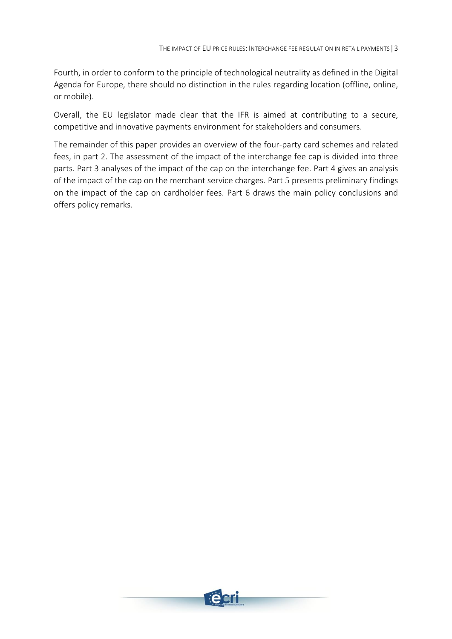Fourth, in order to conform to the principle of technological neutrality as defined in the Digital Agenda for Europe, there should no distinction in the rules regarding location (offline, online, or mobile).

Overall, the EU legislator made clear that the IFR is aimed at contributing to a secure, competitive and innovative payments environment for stakeholders and consumers.

The remainder of this paper provides an overview of the four-party card schemes and related fees, in part 2. The assessment of the impact of the interchange fee cap is divided into three parts. Part 3 analyses of the impact of the cap on the interchange fee. Part 4 gives an analysis of the impact of the cap on the merchant service charges. Part 5 presents preliminary findings on the impact of the cap on cardholder fees. Part 6 draws the main policy conclusions and offers policy remarks.

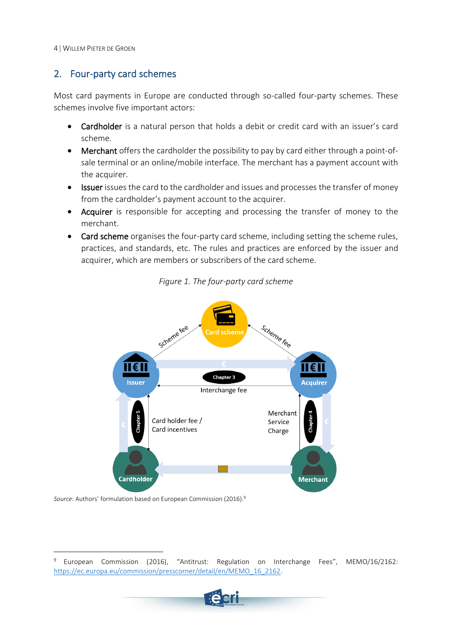## <span id="page-5-0"></span>2. Four-party card schemes

Most card payments in Europe are conducted through so-called four-party schemes. These schemes involve five important actors:

- Cardholder is a natural person that holds a debit or credit card with an issuer's card scheme.
- Merchant offers the cardholder the possibility to pay by card either through a point-ofsale terminal or an online/mobile interface. The merchant has a payment account with the acquirer.
- Issuer issues the card to the cardholder and issues and processes the transfer of money from the cardholder's payment account to the acquirer.
- Acquirer is responsible for accepting and processing the transfer of money to the merchant.
- <span id="page-5-1"></span>• Card scheme organises the four-party card scheme, including setting the scheme rules, practices, and standards, etc. The rules and practices are enforced by the issuer and acquirer, which are members or subscribers of the card scheme.



*Figure 1. The four-party card scheme*

*Source:* Authors' formulation based on European Commission (2016). 9

<sup>9</sup> European Commission (2016), "Antitrust: Regulation on Interchange Fees", MEMO/16/2162: [https://ec.europa.eu/commission/presscorner/detail/en/MEMO\\_16\\_2162.](https://ec.europa.eu/commission/presscorner/detail/en/MEMO_16_2162)

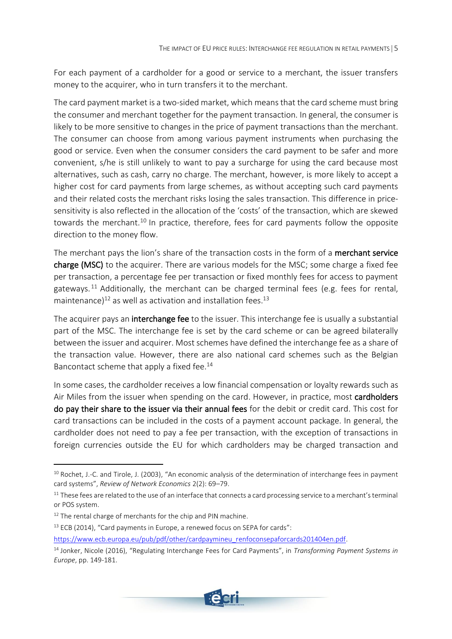For each payment of a cardholder for a good or service to a merchant, the issuer transfers money to the acquirer, who in turn transfers it to the merchant.

The card payment market is a two-sided market, which means that the card scheme must bring the consumer and merchant together for the payment transaction. In general, the consumer is likely to be more sensitive to changes in the price of payment transactions than the merchant. The consumer can choose from among various payment instruments when purchasing the good or service. Even when the consumer considers the card payment to be safer and more convenient, s/he is still unlikely to want to pay a surcharge for using the card because most alternatives, such as cash, carry no charge. The merchant, however, is more likely to accept a higher cost for card payments from large schemes, as without accepting such card payments and their related costs the merchant risks losing the sales transaction. This difference in pricesensitivity is also reflected in the allocation of the 'costs' of the transaction, which are skewed towards the merchant.<sup>10</sup> In practice, therefore, fees for card payments follow the opposite direction to the money flow.

The merchant pays the lion's share of the transaction costs in the form of a merchant service charge (MSC) to the acquirer. There are various models for the MSC; some charge a fixed fee per transaction, a percentage fee per transaction or fixed monthly fees for access to payment gateways.<sup>11</sup> Additionally, the merchant can be charged terminal fees (e.g. fees for rental, maintenance) $^{12}$  as well as activation and installation fees. $^{13}$ 

The acquirer pays an **interchange fee** to the issuer. This interchange fee is usually a substantial part of the MSC. The interchange fee is set by the card scheme or can be agreed bilaterally between the issuer and acquirer. Most schemes have defined the interchange fee as a share of the transaction value. However, there are also national card schemes such as the Belgian Bancontact scheme that apply a fixed fee.<sup>14</sup>

In some cases, the cardholder receives a low financial compensation or loyalty rewards such as Air Miles from the issuer when spending on the card. However, in practice, most cardholders do pay their share to the issuer via their annual fees for the debit or credit card. This cost for card transactions can be included in the costs of a payment account package. In general, the cardholder does not need to pay a fee per transaction, with the exception of transactions in foreign currencies outside the EU for which cardholders may be charged transaction and

<sup>14</sup> Jonker, Nicole (2016), "Regulating Interchange Fees for Card Payments", in *Transforming Payment Systems in Europe*, pp. 149-181.



<sup>&</sup>lt;sup>10</sup> Rochet, J.-C. and Tirole, J. (2003), "An economic analysis of the determination of interchange fees in payment card systems", *Review of Network Economics* 2(2): 69–79.

<sup>&</sup>lt;sup>11</sup> These fees are related to the use of an interface that connects a card processing service to a merchant's terminal or POS system.

<sup>&</sup>lt;sup>12</sup> The rental charge of merchants for the chip and PIN machine.

 $13$  ECB (2014), "Card payments in Europe, a renewed focus on SEPA for cards":

[https://www.ecb.europa.eu/pub/pdf/other/cardpaymineu\\_renfoconsepaforcards201404en.pdf.](https://www.ecb.europa.eu/pub/pdf/other/cardpaymineu_renfoconsepaforcards201404en.pdf)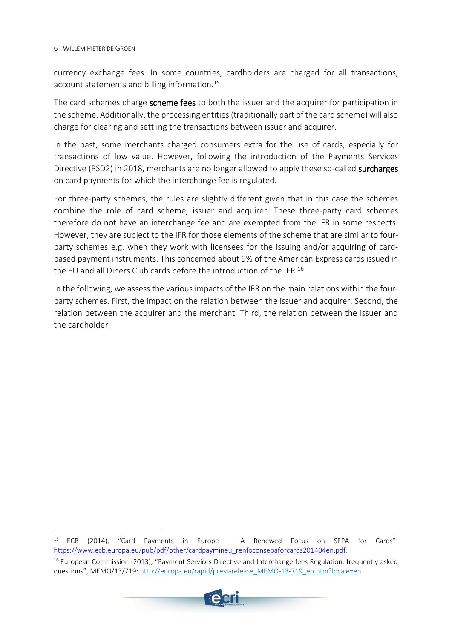currency exchange fees. In some countries, cardholders are charged for all transactions, account statements and billing information.<sup>15</sup>

The card schemes charge scheme fees to both the issuer and the acquirer for participation in the scheme. Additionally, the processing entities (traditionally part of the card scheme) will also charge for clearing and settling the transactions between issuer and acquirer.

In the past, some merchants charged consumers extra for the use of cards, especially for transactions of low value. However, following the introduction of the Payments Services Directive (PSD2) in 2018, merchants are no longer allowed to apply these so-called **surcharges** on card payments for which the interchange fee is regulated.

For three-party schemes, the rules are slightly different given that in this case the schemes combine the role of card scheme, issuer and acquirer. These three-party card schemes therefore do not have an interchange fee and are exempted from the IFR in some respects. However, they are subject to the IFR for those elements of the scheme that are similar to fourparty schemes e.g. when they work with licensees for the issuing and/or acquiring of cardbased payment instruments. This concerned about 9% of the American Express cards issued in the EU and all Diners Club cards before the introduction of the IFR.<sup>16</sup>

In the following, we assess the various impacts of the IFR on the main relations within the fourparty schemes. First, the impact on the relation between the issuer and acquirer. Second, the relation between the acquirer and the merchant. Third, the relation between the issuer and the cardholder.

<sup>&</sup>lt;sup>16</sup> European Commission (2013), "Payment Services Directive and Interchange fees Regulation: frequently asked questions", MEMO/13/719[: http://europa.eu/rapid/press-release\\_MEMO-13-719\\_en.htm?locale=en.](http://europa.eu/rapid/press-release_MEMO-13-719_en.htm?locale=en)



<sup>15</sup> ECB (2014), "Card Payments in Europe – A Renewed Focus on SEPA for Cards": [https://www.ecb.europa.eu/pub/pdf/other/cardpaymineu\\_renfoconsepaforcards201404en.pdf.](https://www.ecb.europa.eu/pub/pdf/other/cardpaymineu_renfoconsepaforcards201404en.pdf)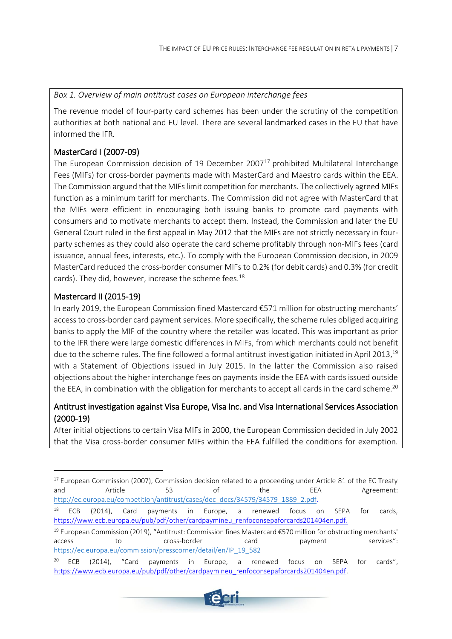<span id="page-8-0"></span>*Box 1. Overview of main antitrust cases on European interchange fees*

The revenue model of four-party card schemes has been under the scrutiny of the competition authorities at both national and EU level. There are several landmarked cases in the EU that have informed the IFR.

## MasterCard I (2007-09)

The European Commission decision of 19 December 2007<sup>17</sup> prohibited Multilateral Interchange Fees (MIFs) for cross-border payments made with MasterCard and Maestro cards within the EEA. The Commission argued that the MIFs limit competition for merchants. The collectively agreed MIFs function as a minimum tariff for merchants. The Commission did not agree with MasterCard that the MIFs were efficient in encouraging both issuing banks to promote card payments with consumers and to motivate merchants to accept them. Instead, the Commission and later the EU General Court ruled in the first appeal in May 2012 that the MIFs are not strictly necessary in fourparty schemes as they could also operate the card scheme profitably through non-MIFs fees (card issuance, annual fees, interests, etc.). To comply with the European Commission decision, in 2009 MasterCard reduced the cross-border consumer MIFs to 0.2% (for debit cards) and 0.3% (for credit cards). They did, however, increase the scheme fees. 18

## Mastercard II (2015-19)

In early 2019, the European Commission fined Mastercard €571 million for obstructing merchants' access to cross-border card payment services. More specifically, the scheme rules obliged acquiring banks to apply the MIF of the country where the retailer was located. This was important as prior to the IFR there were large domestic differences in MIFs, from which merchants could not benefit due to the scheme rules. The fine followed a formal antitrust investigation initiated in April 2013, $^{\rm 19}$ with a Statement of Objections issued in July 2015. In the latter the Commission also raised objections about the higher interchange fees on payments inside the EEA with cards issued outside the EEA, in combination with the obligation for merchants to accept all cards in the card scheme. $^{20}$ 

## Antitrust investigation against Visa Europe, Visa Inc. and Visa International Services Association (2000-19)

After initial objections to certain Visa MIFs in 2000, the European Commission decided in July 2002 that the Visa cross-border consumer MIFs within the EEA fulfilled the conditions for exemption.

<sup>&</sup>lt;sup>20</sup> ECB (2014), "Card payments in Europe, a renewed focus on SEPA for cards", [https://www.ecb.europa.eu/pub/pdf/other/cardpaymineu\\_renfoconsepaforcards201404en.pdf.](https://www.ecb.europa.eu/pub/pdf/other/cardpaymineu_renfoconsepaforcards201404en.pdf)



<sup>&</sup>lt;sup>17</sup> European Commission (2007), Commission decision related to a proceeding under Article 81 of the EC Treaty and Article 53 of the EEA Agreement: [http://ec.europa.eu/competition/antitrust/cases/dec\\_docs/34579/34579\\_1889\\_2.pdf.](http://ec.europa.eu/competition/antitrust/cases/dec_docs/34579/34579_1889_2.pdf)

<sup>&</sup>lt;sup>18</sup> ECB (2014), Card payments in Europe, a renewed focus on SEPA for cards, [https://www.ecb.europa.eu/pub/pdf/other/cardpaymineu\\_renfoconsepaforcards201404en.pdf.](https://www.ecb.europa.eu/pub/pdf/other/cardpaymineu_renfoconsepaforcards201404en.pdf)

<sup>19</sup> European Commission (2019), "Antitrust: Commission fines Mastercard €570 million for obstructing merchants' access to cross-border card payment services": [https://ec.europa.eu/commission/presscorner/detail/en/IP\\_19\\_582](https://ec.europa.eu/commission/presscorner/detail/en/IP_19_582)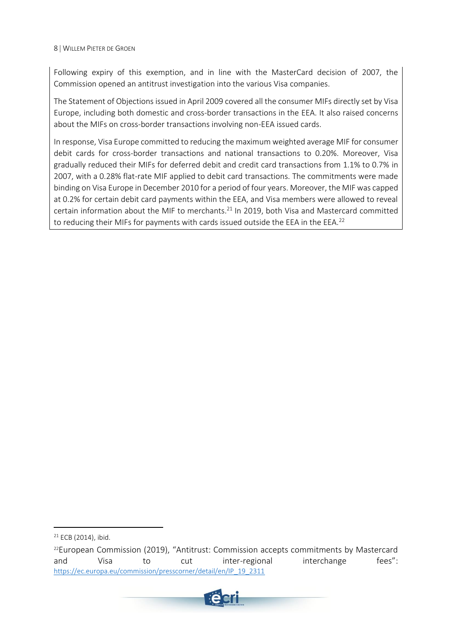Following expiry of this exemption, and in line with the MasterCard decision of 2007, the Commission opened an antitrust investigation into the various Visa companies.

The Statement of Objections issued in April 2009 covered all the consumer MIFs directly set by Visa Europe, including both domestic and cross-border transactions in the EEA. It also raised concerns about the MIFs on cross-border transactions involving non-EEA issued cards.

In response, Visa Europe committed to reducing the maximum weighted average MIF for consumer debit cards for cross-border transactions and national transactions to 0.20%. Moreover, Visa gradually reduced their MIFs for deferred debit and credit card transactions from 1.1% to 0.7% in 2007, with a 0.28% flat-rate MIF applied to debit card transactions. The commitments were made binding on Visa Europe in December 2010 for a period of four years. Moreover, the MIF was capped at 0.2% for certain debit card payments within the EEA, and Visa members were allowed to reveal certain information about the MIF to merchants.<sup>21</sup> In 2019, both Visa and Mastercard committed to reducing their MIFs for payments with cards issued outside the EEA in the EEA.<sup>22</sup>

 $22$ European Commission (2019), "Antitrust: Commission accepts commitments by Mastercard and Visa to cut inter-regional interchange fees": [https://ec.europa.eu/commission/presscorner/detail/en/IP\\_19\\_2311](https://ec.europa.eu/commission/presscorner/detail/en/IP_19_2311)



 $21$  ECB (2014), ibid.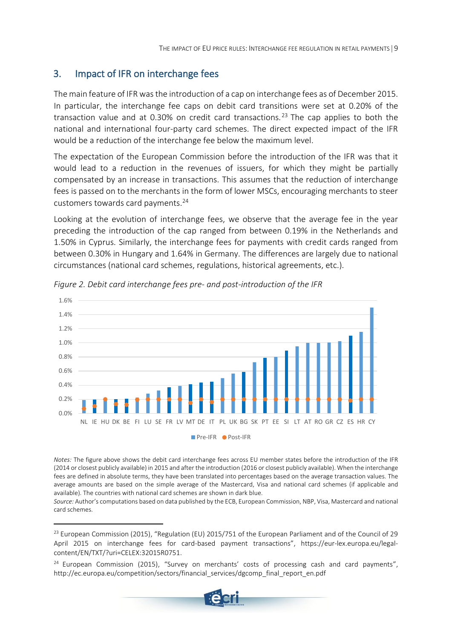## <span id="page-10-0"></span>3. Impact of IFR on interchange fees

The main feature of IFR wasthe introduction of a cap on interchange fees as of December 2015. In particular, the interchange fee caps on debit card transitions were set at 0.20% of the transaction value and at 0.30% on credit card transactions.<sup>23</sup> The cap applies to both the national and international four-party card schemes. The direct expected impact of the IFR would be a reduction of the interchange fee below the maximum level.

The expectation of the European Commission before the introduction of the IFR was that it would lead to a reduction in the revenues of issuers, for which they might be partially compensated by an increase in transactions. This assumes that the reduction of interchange fees is passed on to the merchants in the form of lower MSCs, encouraging merchants to steer customers towards card payments.<sup>24</sup>

Looking at the evolution of interchange fees, we observe that the average fee in the year preceding the introduction of the cap ranged from between 0.19% in the Netherlands and 1.50% in Cyprus. Similarly, the interchange fees for payments with credit cards ranged from between 0.30% in Hungary and 1.64% in Germany. The differences are largely due to national circumstances (national card schemes, regulations, historical agreements, etc.).



<span id="page-10-1"></span>*Figure 2. Debit card interchange fees pre- and post-introduction of the IFR*

*Notes:* The figure above shows the debit card interchange fees across EU member states before the introduction of the IFR (2014 or closest publicly available) in 2015 and after the introduction (2016 or closest publicly available). When the interchange fees are defined in absolute terms, they have been translated into percentages based on the average transaction values. The average amounts are based on the simple average of the Mastercard, Visa and national card schemes (if applicable and available). The countries with national card schemes are shown in dark blue.

*Source:* Author's computations based on data published by the ECB, European Commission, NBP, Visa, Mastercard and national card schemes.

 $24$  European Commission (2015), "Survey on merchants' costs of processing cash and card payments", http://ec.europa.eu/competition/sectors/financial\_services/dgcomp\_final\_report\_en.pdf



<sup>&</sup>lt;sup>23</sup> European Commission (2015), "Regulation (EU) 2015/751 of the European Parliament and of the Council of 29 April 2015 on interchange fees for card-based payment transactions", https://eur-lex.europa.eu/legalcontent/EN/TXT/?uri=CELEX:32015R0751.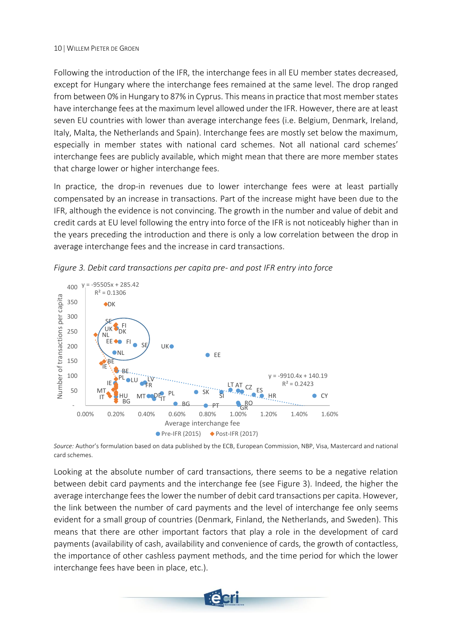Following the introduction of the IFR, the interchange fees in all EU member states decreased, except for Hungary where the interchange fees remained at the same level. The drop ranged from between 0% in Hungary to 87% in Cyprus. This means in practice that most member states have interchange fees at the maximum level allowed under the IFR. However, there are at least seven EU countries with lower than average interchange fees (i.e. Belgium, Denmark, Ireland, Italy, Malta, the Netherlands and Spain). Interchange fees are mostly set below the maximum, especially in member states with national card schemes. Not all national card schemes' interchange fees are publicly available, which might mean that there are more member states that charge lower or higher interchange fees.

In practice, the drop-in revenues due to lower interchange fees were at least partially compensated by an increase in transactions. Part of the increase might have been due to the IFR, although the evidence is not convincing. The growth in the number and value of debit and credit cards at EU level following the entry into force of the IFR is not noticeably higher than in the years preceding the introduction and there is only a low correlation between the drop in average interchange fees and the increase in card transactions.



<span id="page-11-0"></span>*Figure 3. Debit card transactions per capita pre- and post IFR entry into force*

*Source:* Author's formulation based on data published by the ECB, European Commission, NBP, Visa, Mastercard and national card schemes.

Looking at the absolute number of card transactions, there seems to be a negative relation between debit card payments and the interchange fee (see [Figure 3\)](#page-11-0). Indeed, the higher the average interchange fees the lower the number of debit card transactions per capita. However, the link between the number of card payments and the level of interchange fee only seems evident for a small group of countries (Denmark, Finland, the Netherlands, and Sweden). This means that there are other important factors that play a role in the development of card payments (availability of cash, availability and convenience of cards, the growth of contactless, the importance of other cashless payment methods, and the time period for which the lower interchange fees have been in place, etc.).

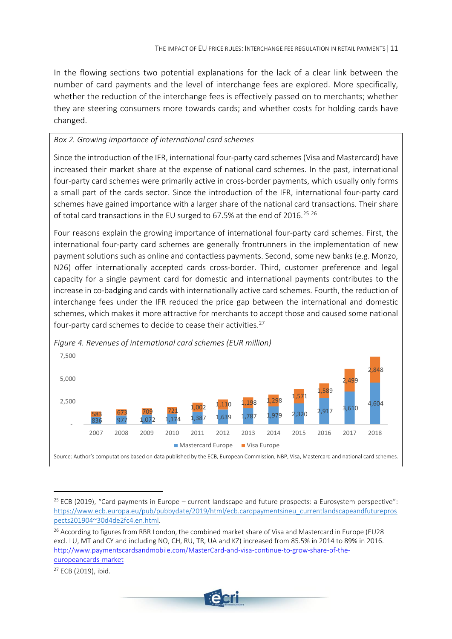In the flowing sections two potential explanations for the lack of a clear link between the number of card payments and the level of interchange fees are explored. More specifically, whether the reduction of the interchange fees is effectively passed on to merchants; whether they are steering consumers more towards cards; and whether costs for holding cards have changed.

#### <span id="page-12-0"></span>*Box 2. Growing importance of international card schemes*

Since the introduction of the IFR, international four-party card schemes (Visa and Mastercard) have increased their market share at the expense of national card schemes. In the past, international four-party card schemes were primarily active in cross-border payments, which usually only forms a small part of the cards sector. Since the introduction of the IFR, international four-party card schemes have gained importance with a larger share of the national card transactions. Their share of total card transactions in the EU surged to 67.5% at the end of 2016.<sup>25 26</sup>

Four reasons explain the growing importance of international four-party card schemes. First, the international four-party card schemes are generally frontrunners in the implementation of new payment solutions such as online and contactless payments. Second, some new banks (e.g. Monzo, N26) offer internationally accepted cards cross-border. Third, customer preference and legal capacity for a single payment card for domestic and international payments contributes to the increase in co-badging and cards with internationally active card schemes. Fourth, the reduction of interchange fees under the IFR reduced the price gap between the international and domestic schemes, which makes it more attractive for merchants to accept those and caused some national four-party card schemes to decide to cease their activities.<sup>27</sup>



<span id="page-12-1"></span>*Figure 4. Revenues of international card schemes (EUR million)*

<sup>27</sup> ECB (2019), ibid.



 $25$  ECB (2019), "Card payments in Europe – current landscape and future prospects: a Eurosystem perspective": [https://www.ecb.europa.eu/pub/pubbydate/2019/html/ecb.cardpaymentsineu\\_currentlandscapeandfuturepros](https://www.ecb.europa.eu/pub/pubbydate/2019/html/ecb.cardpaymentsineu_currentlandscapeandfutureprospects201904~30d4de2fc4.en.html) [pects201904~30d4de2fc4.en.html.](https://www.ecb.europa.eu/pub/pubbydate/2019/html/ecb.cardpaymentsineu_currentlandscapeandfutureprospects201904~30d4de2fc4.en.html)

<sup>&</sup>lt;sup>26</sup> According to figures from RBR London, the combined market share of Visa and Mastercard in Europe (EU28 excl. LU, MT and CY and including NO, CH, RU, TR, UA and KZ) increased from 85.5% in 2014 to 89% in 2016. [http://www.paymentscardsandmobile.com/MasterCard-and-visa-continue-to-grow-share-of-the](http://www.paymentscardsandmobile.com/mastercard-and-visa-continue-to-grow-share-of-the-european-cards-market/)[europeancards-market](http://www.paymentscardsandmobile.com/mastercard-and-visa-continue-to-grow-share-of-the-european-cards-market/)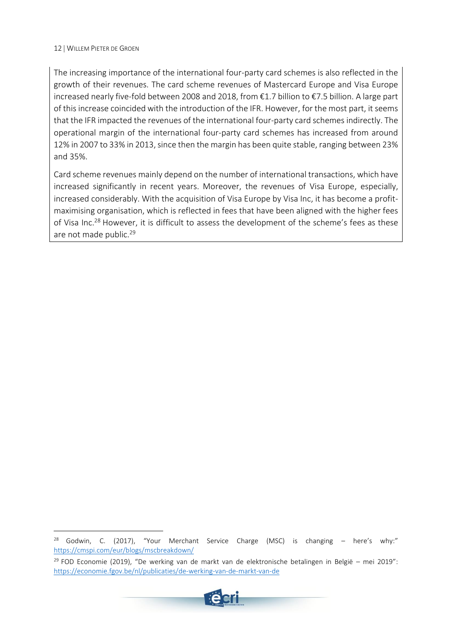The increasing importance of the international four-party card schemes is also reflected in the growth of their revenues. The card scheme revenues of Mastercard Europe and Visa Europe increased nearly five-fold between 2008 and 2018, from €1.7 billion to €7.5 billion. A large part of this increase coincided with the introduction of the IFR. However, for the most part, it seems that the IFR impacted the revenues of the international four-party card schemes indirectly. The operational margin of the international four-party card schemes has increased from around 12% in 2007 to 33% in 2013, since then the margin has been quite stable, ranging between 23% and 35%.

Card scheme revenues mainly depend on the number of international transactions, which have increased significantly in recent years. Moreover, the revenues of Visa Europe, especially, increased considerably. With the acquisition of Visa Europe by Visa Inc, it has become a profitmaximising organisation, which is reflected in fees that have been aligned with the higher fees of Visa Inc.<sup>28</sup> However, it is difficult to assess the development of the scheme's fees as these are not made public. 29

 $29$  FOD Economie (2019), "De werking van de markt van de elektronische betalingen in België – mei 2019": <https://economie.fgov.be/nl/publicaties/de-werking-van-de-markt-van-de>



<sup>&</sup>lt;sup>28</sup> Godwin, C. (2017), "Your Merchant Service Charge (MSC) is changing – here's why:" <https://cmspi.com/eur/blogs/mscbreakdown/>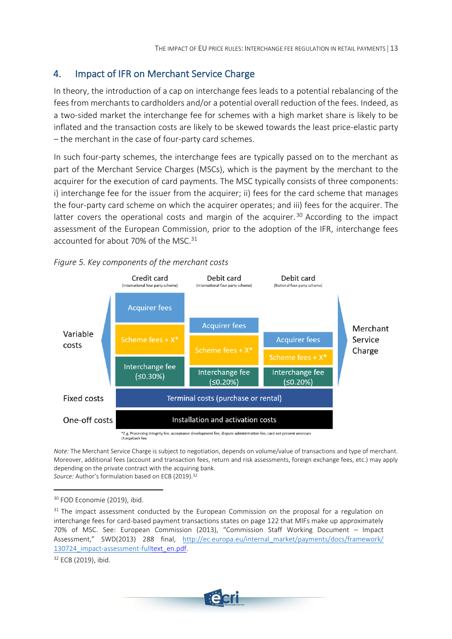## <span id="page-14-0"></span>4. Impact of IFR on Merchant Service Charge

In theory, the introduction of a cap on interchange fees leads to a potential rebalancing of the fees from merchants to cardholders and/or a potential overall reduction of the fees. Indeed, as a two-sided market the interchange fee for schemes with a high market share is likely to be inflated and the transaction costs are likely to be skewed towards the least price-elastic party – the merchant in the case of four-party card schemes.

In such four-party schemes, the interchange fees are typically passed on to the merchant as part of the Merchant Service Charges (MSCs), which is the payment by the merchant to the acquirer for the execution of card payments. The MSC typically consists of three components: i) interchange fee for the issuer from the acquirer; ii) fees for the card scheme that manages the four-party card scheme on which the acquirer operates; and iii) fees for the acquirer. The latter covers the operational costs and margin of the acquirer.<sup>30</sup> According to the impact assessment of the European Commission, prior to the adoption of the IFR, interchange fees accounted for about 70% of the MSC.<sup>31</sup>



<span id="page-14-1"></span>*Figure 5. Key components of the merchant costs*

chargeback fee

*Note:* The Merchant Service Charge is subject to negotiation, depends on volume/value of transactions and type of merchant. Moreover, additional fees (account and transaction fees, return and risk assessments, foreign exchange fees, etc.) may apply depending on the private contract with the acquiring bank. *Source:* Author's formulation based on ECB (2019). 32

<sup>32</sup> ECB (2019), ibid.



<sup>&</sup>lt;sup>30</sup> FOD Economie (2019), ibid.

<sup>&</sup>lt;sup>31</sup> The impact assessment conducted by the European Commission on the proposal for a regulation on interchange fees for card-based payment transactions states on page 122 that MIFs make up approximately 70% of MSC. See: European Commission (2013), "Commission Staff Working Document – Impact Assessment," SWD(2013) 288 final, [http://ec.europa.eu/internal\\_market/payments/docs/framework/](http://ec.europa.eu/internal_market/payments/docs/framework/130724_impact-assessment-full) 130724 impact-assessment-fulltext en.pdf.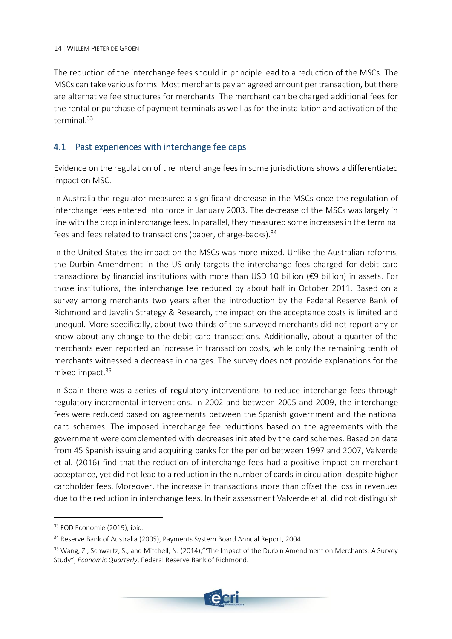The reduction of the interchange fees should in principle lead to a reduction of the MSCs. The MSCs can take various forms. Most merchants pay an agreed amount per transaction, but there are alternative fee structures for merchants. The merchant can be charged additional fees for the rental or purchase of payment terminals as well as for the installation and activation of the terminal. 33

## <span id="page-15-0"></span>4.1 Past experiences with interchange fee caps

Evidence on the regulation of the interchange fees in some jurisdictions shows a differentiated impact on MSC.

In Australia the regulator measured a significant decrease in the MSCs once the regulation of interchange fees entered into force in January 2003. The decrease of the MSCs was largely in line with the drop in interchange fees. In parallel, they measured some increases in the terminal fees and fees related to transactions (paper, charge-backs).<sup>34</sup>

In the United States the impact on the MSCs was more mixed. Unlike the Australian reforms, the Durbin Amendment in the US only targets the interchange fees charged for debit card transactions by financial institutions with more than USD 10 billion (€9 billion) in assets. For those institutions, the interchange fee reduced by about half in October 2011. Based on a survey among merchants two years after the introduction by the Federal Reserve Bank of Richmond and Javelin Strategy & Research, the impact on the acceptance costs is limited and unequal. More specifically, about two-thirds of the surveyed merchants did not report any or know about any change to the debit card transactions. Additionally, about a quarter of the merchants even reported an increase in transaction costs, while only the remaining tenth of merchants witnessed a decrease in charges. The survey does not provide explanations for the mixed impact.<sup>35</sup>

In Spain there was a series of regulatory interventions to reduce interchange fees through regulatory incremental interventions. In 2002 and between 2005 and 2009, the interchange fees were reduced based on agreements between the Spanish government and the national card schemes. The imposed interchange fee reductions based on the agreements with the government were complemented with decreases initiated by the card schemes. Based on data from 45 Spanish issuing and acquiring banks for the period between 1997 and 2007, Valverde et al. (2016) find that the reduction of interchange fees had a positive impact on merchant acceptance, yet did not lead to a reduction in the number of cards in circulation, despite higher cardholder fees. Moreover, the increase in transactions more than offset the loss in revenues due to the reduction in interchange fees. In their assessment Valverde et al. did not distinguish

<sup>&</sup>lt;sup>35</sup> Wang, Z., Schwartz, S., and Mitchell, N. (2014)," The Impact of the Durbin Amendment on Merchants: A Survey Study", *Economic Quarterly*, Federal Reserve Bank of Richmond.



<sup>&</sup>lt;sup>33</sup> FOD Economie (2019), ibid.

<sup>&</sup>lt;sup>34</sup> Reserve Bank of Australia (2005), Payments System Board Annual Report, 2004.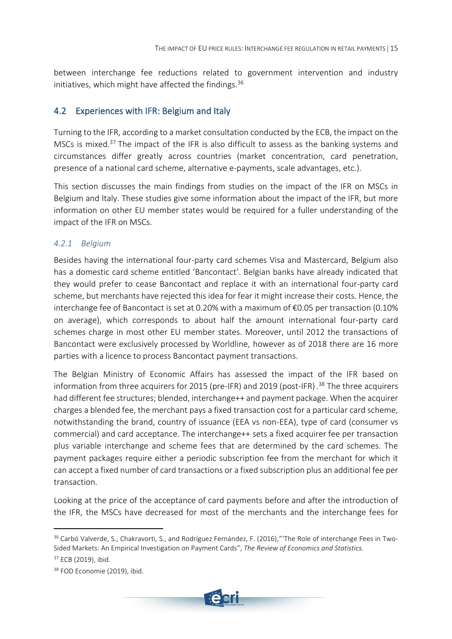between interchange fee reductions related to government intervention and industry initiatives, which might have affected the findings. 36

### <span id="page-16-0"></span>4.2 Experiences with IFR: Belgium and Italy

Turning to the IFR, according to a market consultation conducted by the ECB, the impact on the MSCs is mixed.<sup>37</sup> The impact of the IFR is also difficult to assess as the banking systems and circumstances differ greatly across countries (market concentration, card penetration, presence of a national card scheme, alternative e-payments, scale advantages, etc.).

This section discusses the main findings from studies on the impact of the IFR on MSCs in Belgium and Italy. These studies give some information about the impact of the IFR, but more information on other EU member states would be required for a fuller understanding of the impact of the IFR on MSCs.

#### <span id="page-16-1"></span>*4.2.1 Belgium*

Besides having the international four-party card schemes Visa and Mastercard, Belgium also has a domestic card scheme entitled 'Bancontact'. Belgian banks have already indicated that they would prefer to cease Bancontact and replace it with an international four-party card scheme, but merchants have rejected this idea for fear it might increase their costs. Hence, the interchange fee of Bancontact is set at 0.20% with a maximum of €0.05 per transaction (0.10% on average), which corresponds to about half the amount international four-party card schemes charge in most other EU member states. Moreover, until 2012 the transactions of Bancontact were exclusively processed by Worldline, however as of 2018 there are 16 more parties with a licence to process Bancontact payment transactions.

The Belgian Ministry of Economic Affairs has assessed the impact of the IFR based on information from three acquirers for 2015 (pre-IFR) and 2019 (post-IFR). <sup>38</sup> The three acquirers had different fee structures; blended, interchange++ and payment package. When the acquirer charges a blended fee, the merchant pays a fixed transaction cost for a particular card scheme, notwithstanding the brand, country of issuance (EEA vs non-EEA), type of card (consumer vs commercial) and card acceptance. The interchange++ sets a fixed acquirer fee per transaction plus variable interchange and scheme fees that are determined by the card schemes. The payment packages require either a periodic subscription fee from the merchant for which it can accept a fixed number of card transactions or a fixed subscription plus an additional fee per transaction.

Looking at the price of the acceptance of card payments before and after the introduction of the IFR, the MSCs have decreased for most of the merchants and the interchange fees for

<sup>&</sup>lt;sup>38</sup> FOD Economie (2019), ibid.



<sup>&</sup>lt;sup>36</sup> Carbó Valverde, S., Chakravorti, S., and Rodríguez Fernández, F. (2016)," The Role of interchange Fees in Two-Sided Markets: An Empirical Investigation on Payment Cards", *The Review of Economics and Statistics.* <sup>37</sup> ECB (2019), ibid.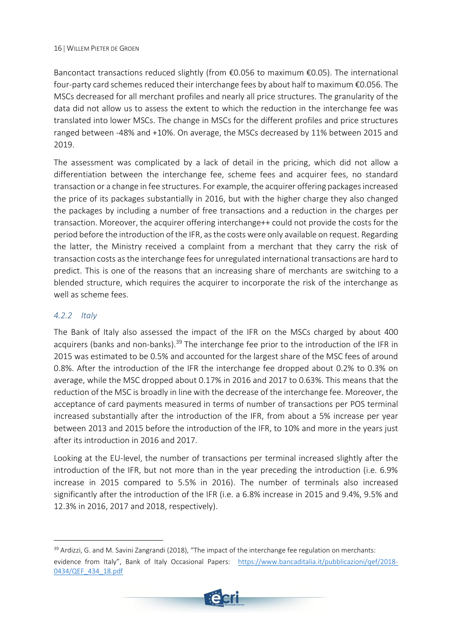Bancontact transactions reduced slightly (from €0.056 to maximum €0.05). The international four-party card schemes reduced their interchange fees by about half to maximum €0.056. The MSCs decreased for all merchant profiles and nearly all price structures. The granularity of the data did not allow us to assess the extent to which the reduction in the interchange fee was translated into lower MSCs. The change in MSCs for the different profiles and price structures ranged between -48% and +10%. On average, the MSCs decreased by 11% between 2015 and 2019.

The assessment was complicated by a lack of detail in the pricing, which did not allow a differentiation between the interchange fee, scheme fees and acquirer fees, no standard transaction or a change in fee structures. For example, the acquirer offering packages increased the price of its packages substantially in 2016, but with the higher charge they also changed the packages by including a number of free transactions and a reduction in the charges per transaction. Moreover, the acquirer offering interchange++ could not provide the costs for the period before the introduction of the IFR, as the costs were only available on request. Regarding the latter, the Ministry received a complaint from a merchant that they carry the risk of transaction costs as the interchange fees for unregulated international transactions are hard to predict. This is one of the reasons that an increasing share of merchants are switching to a blended structure, which requires the acquirer to incorporate the risk of the interchange as well as scheme fees.

#### <span id="page-17-0"></span>*4.2.2 Italy*

The Bank of Italy also assessed the impact of the IFR on the MSCs charged by about 400 acquirers (banks and non-banks).<sup>39</sup> The interchange fee prior to the introduction of the IFR in 2015 was estimated to be 0.5% and accounted for the largest share of the MSC fees of around 0.8%. After the introduction of the IFR the interchange fee dropped about 0.2% to 0.3% on average, while the MSC dropped about 0.17% in 2016 and 2017 to 0.63%. This means that the reduction of the MSC is broadly in line with the decrease of the interchange fee. Moreover, the acceptance of card payments measured in terms of number of transactions per POS terminal increased substantially after the introduction of the IFR, from about a 5% increase per year between 2013 and 2015 before the introduction of the IFR, to 10% and more in the years just after its introduction in 2016 and 2017.

Looking at the EU-level, the number of transactions per terminal increased slightly after the introduction of the IFR, but not more than in the year preceding the introduction (i.e. 6.9% increase in 2015 compared to 5.5% in 2016). The number of terminals also increased significantly after the introduction of the IFR (i.e. a 6.8% increase in 2015 and 9.4%, 9.5% and 12.3% in 2016, 2017 and 2018, respectively).

<sup>&</sup>lt;sup>39</sup> Ardizzi, G. and M. Savini Zangrandi (2018), "The impact of the interchange fee regulation on merchants: evidence from Italy", Bank of Italy Occasional Papers: [https://www.bancaditalia.it/pubblicazioni/qef/2018-](https://www.bancaditalia.it/pubblicazioni/qef/2018-0434/QEF_434_18.pdf) [0434/QEF\\_434\\_18.pdf](https://www.bancaditalia.it/pubblicazioni/qef/2018-0434/QEF_434_18.pdf)

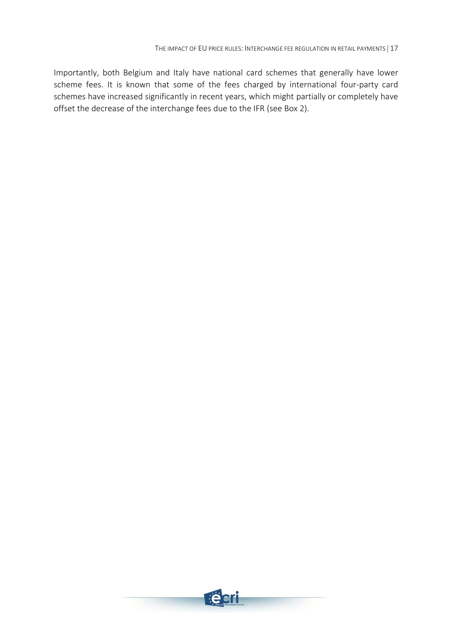Importantly, both Belgium and Italy have national card schemes that generally have lower scheme fees. It is known that some of the fees charged by international four-party card schemes have increased significantly in recent years, which might partially or completely have offset the decrease of the interchange fees due to the IFR (see Box 2).

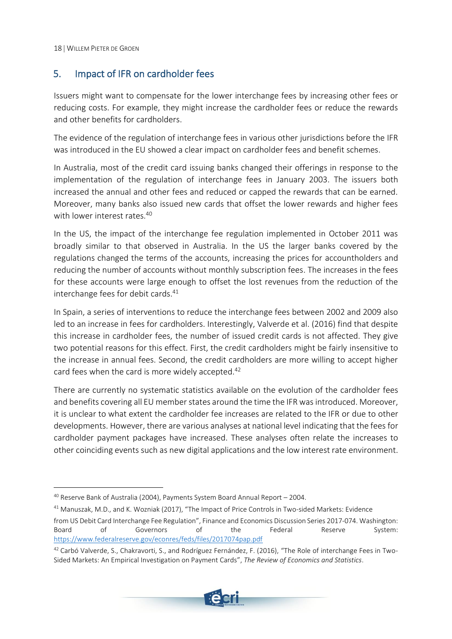## <span id="page-19-0"></span>5. Impact of IFR on cardholder fees

Issuers might want to compensate for the lower interchange fees by increasing other fees or reducing costs. For example, they might increase the cardholder fees or reduce the rewards and other benefits for cardholders.

The evidence of the regulation of interchange fees in various other jurisdictions before the IFR was introduced in the EU showed a clear impact on cardholder fees and benefit schemes.

In Australia, most of the credit card issuing banks changed their offerings in response to the implementation of the regulation of interchange fees in January 2003. The issuers both increased the annual and other fees and reduced or capped the rewards that can be earned. Moreover, many banks also issued new cards that offset the lower rewards and higher fees with lower interest rates.<sup>40</sup>

In the US, the impact of the interchange fee regulation implemented in October 2011 was broadly similar to that observed in Australia. In the US the larger banks covered by the regulations changed the terms of the accounts, increasing the prices for accountholders and reducing the number of accounts without monthly subscription fees. The increases in the fees for these accounts were large enough to offset the lost revenues from the reduction of the interchange fees for debit cards. 41

In Spain, a series of interventions to reduce the interchange fees between 2002 and 2009 also led to an increase in fees for cardholders. Interestingly, Valverde et al. (2016) find that despite this increase in cardholder fees, the number of issued credit cards is not affected. They give two potential reasons for this effect. First, the credit cardholders might be fairly insensitive to the increase in annual fees. Second, the credit cardholders are more willing to accept higher card fees when the card is more widely accepted. 42

There are currently no systematic statistics available on the evolution of the cardholder fees and benefits covering all EU member states around the time the IFR was introduced. Moreover, it is unclear to what extent the cardholder fee increases are related to the IFR or due to other developments. However, there are various analyses at national level indicating that the fees for cardholder payment packages have increased. These analyses often relate the increases to other coinciding events such as new digital applications and the low interest rate environment.

<sup>&</sup>lt;sup>42</sup> Carbó Valverde, S., Chakravorti, S., and Rodríguez Fernández, F. (2016), "The Role of interchange Fees in Two-Sided Markets: An Empirical Investigation on Payment Cards", *The Review of Economics and Statistics*.



 $40$  Reserve Bank of Australia (2004), Payments System Board Annual Report - 2004.

<sup>41</sup> Manuszak, M.D., and K. Wozniak (2017), "The Impact of Price Controls in Two-sided Markets: Evidence from US Debit Card Interchange Fee Regulation", Finance and Economics Discussion Series 2017-074. Washington: Board of Governors of the Federal Reserve System: <https://www.federalreserve.gov/econres/feds/files/2017074pap.pdf>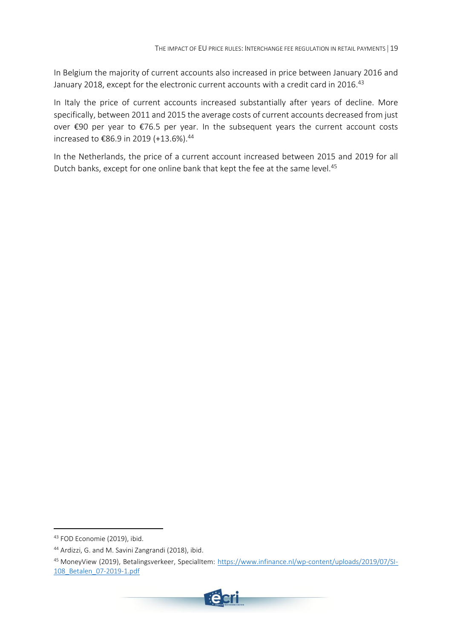In Belgium the majority of current accounts also increased in price between January 2016 and January 2018, except for the electronic current accounts with a credit card in 2016.<sup>43</sup>

In Italy the price of current accounts increased substantially after years of decline. More specifically, between 2011 and 2015 the average costs of current accounts decreased from just over €90 per year to €76.5 per year. In the subsequent years the current account costs increased to €86.9 in 2019 (+13.6%).<sup>44</sup>

In the Netherlands, the price of a current account increased between 2015 and 2019 for all Dutch banks, except for one online bank that kept the fee at the same level. 45

<sup>45</sup> MoneyView (2019), Betalingsverkeer, SpecialItem: [https://www.infinance.nl/wp-content/uploads/2019/07/SI-](https://www.infinance.nl/wp-content/uploads/2019/07/SI-108_Betalen_07-2019-1.pdf)[108\\_Betalen\\_07-2019-1.pdf](https://www.infinance.nl/wp-content/uploads/2019/07/SI-108_Betalen_07-2019-1.pdf)



<sup>43</sup> FOD Economie (2019), ibid.

<sup>44</sup> Ardizzi, G. and M. Savini Zangrandi (2018), ibid.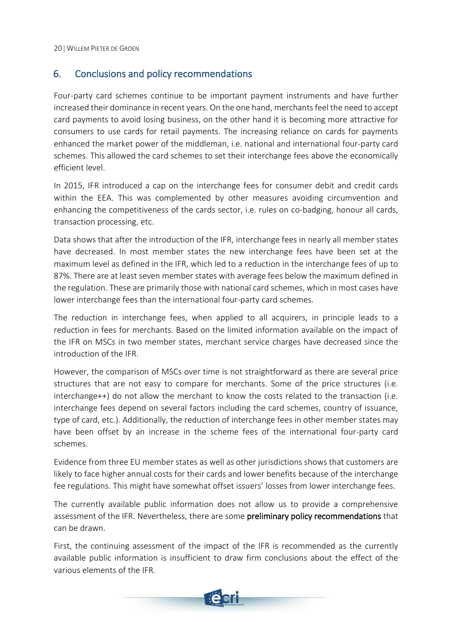## <span id="page-21-0"></span>6. Conclusions and policy recommendations

Four-party card schemes continue to be important payment instruments and have further increased their dominance in recent years. On the one hand, merchants feel the need to accept card payments to avoid losing business, on the other hand it is becoming more attractive for consumers to use cards for retail payments. The increasing reliance on cards for payments enhanced the market power of the middleman, i.e. national and international four-party card schemes. This allowed the card schemes to set their interchange fees above the economically efficient level.

In 2015, IFR introduced a cap on the interchange fees for consumer debit and credit cards within the EEA. This was complemented by other measures avoiding circumvention and enhancing the competitiveness of the cards sector, i.e. rules on co-badging, honour all cards, transaction processing, etc.

Data shows that after the introduction of the IFR, interchange fees in nearly all member states have decreased. In most member states the new interchange fees have been set at the maximum level as defined in the IFR, which led to a reduction in the interchange fees of up to 87%. There are at least seven member states with average fees below the maximum defined in the regulation. These are primarily those with national card schemes, which in most cases have lower interchange fees than the international four-party card schemes.

The reduction in interchange fees, when applied to all acquirers, in principle leads to a reduction in fees for merchants. Based on the limited information available on the impact of the IFR on MSCs in two member states, merchant service charges have decreased since the introduction of the IFR.

However, the comparison of MSCs over time is not straightforward as there are several price structures that are not easy to compare for merchants. Some of the price structures (i.e. interchange++) do not allow the merchant to know the costs related to the transaction (i.e. interchange fees depend on several factors including the card schemes, country of issuance, type of card, etc.). Additionally, the reduction of interchange fees in other member states may have been offset by an increase in the scheme fees of the international four-party card schemes.

Evidence from three EU member states as well as other jurisdictions shows that customers are likely to face higher annual costs for their cards and lower benefits because of the interchange fee regulations. This might have somewhat offset issuers' losses from lower interchange fees.

The currently available public information does not allow us to provide a comprehensive assessment of the IFR. Nevertheless, there are some preliminary policy recommendations that can be drawn.

First, the continuing assessment of the impact of the IFR is recommended as the currently available public information is insufficient to draw firm conclusions about the effect of the various elements of the IFR.

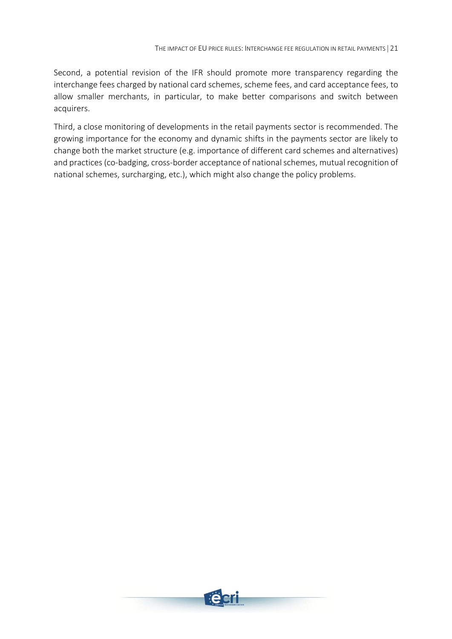Second, a potential revision of the IFR should promote more transparency regarding the interchange fees charged by national card schemes, scheme fees, and card acceptance fees, to allow smaller merchants, in particular, to make better comparisons and switch between acquirers.

Third, a close monitoring of developments in the retail payments sector is recommended. The growing importance for the economy and dynamic shifts in the payments sector are likely to change both the market structure (e.g. importance of different card schemes and alternatives) and practices (co-badging, cross-border acceptance of national schemes, mutual recognition of national schemes, surcharging, etc.), which might also change the policy problems.